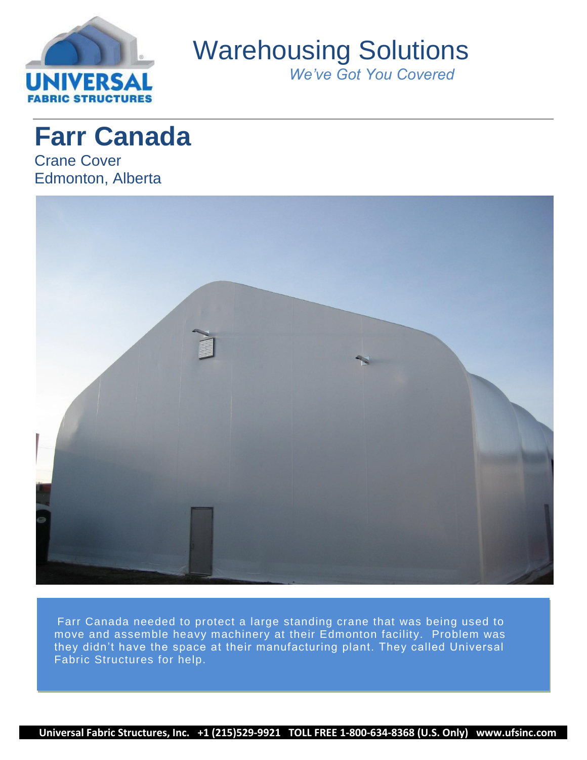

Warehousing Solutions

*We've Got You Covered*

**Farr Canada** Crane Cover Edmonton, Alberta



Farr Canada needed to protect a large standing crane that was being used to move and assemble heavy machinery at their Edmonton facility. Problem was they didn't have the space at their manufacturing plant. They called Universal Fabric Structures for help.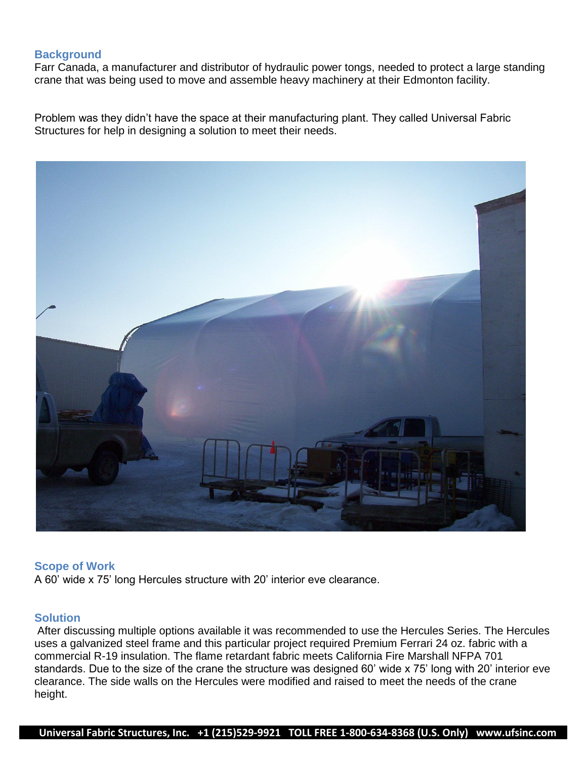# **Background**

Farr Canada, a manufacturer and distributor of hydraulic power tongs, needed to protect a large standing crane that was being used to move and assemble heavy machinery at their Edmonton facility.

Problem was they didn't have the space at their manufacturing plant. They called Universal Fabric Structures for help in designing a solution to meet their needs.



### **Scope of Work**

A 60' wide x 75' long Hercules structure with 20' interior eve clearance.

# **Solution**

After discussing multiple options available it was recommended to use the Hercules Series. The Hercules uses a galvanized steel frame and this particular project required Premium Ferrari 24 oz. fabric with a commercial R-19 insulation. The flame retardant fabric meets California Fire Marshall NFPA 701 standards. Due to the size of the crane the structure was designed 60' wide x 75' long with 20' interior eve clearance. The side walls on the Hercules were modified and raised to meet the needs of the crane height.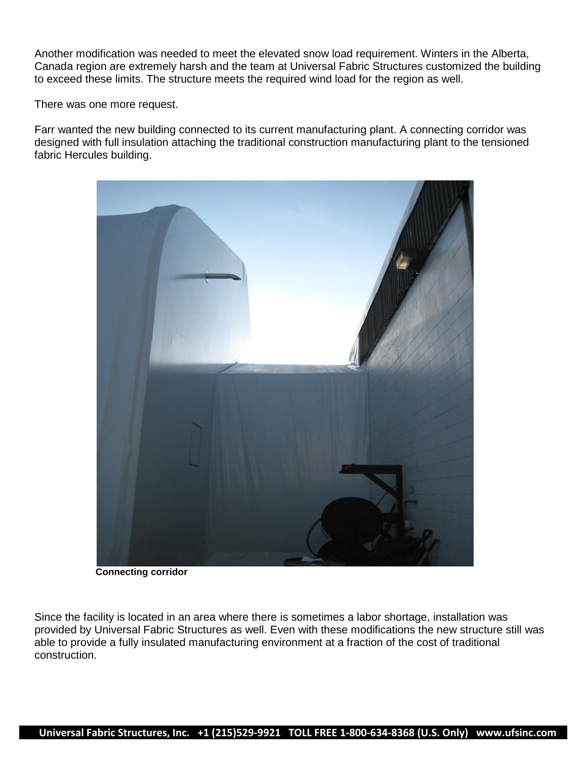Another modification was needed to meet the elevated snow load requirement. Winters in the Alberta, Canada region are extremely harsh and the team at Universal Fabric Structures customized the building to exceed these limits. The structure meets the required wind load for the region as well.

There was one more request.

Farr wanted the new building connected to its current manufacturing plant. A connecting corridor was designed with full insulation attaching the traditional construction manufacturing plant to the tensioned fabric Hercules building.



**Connecting corridor**

Since the facility is located in an area where there is sometimes a labor shortage, installation was provided by Universal Fabric Structures as well. Even with these modifications the new structure still was able to provide a fully insulated manufacturing environment at a fraction of the cost of traditional construction.